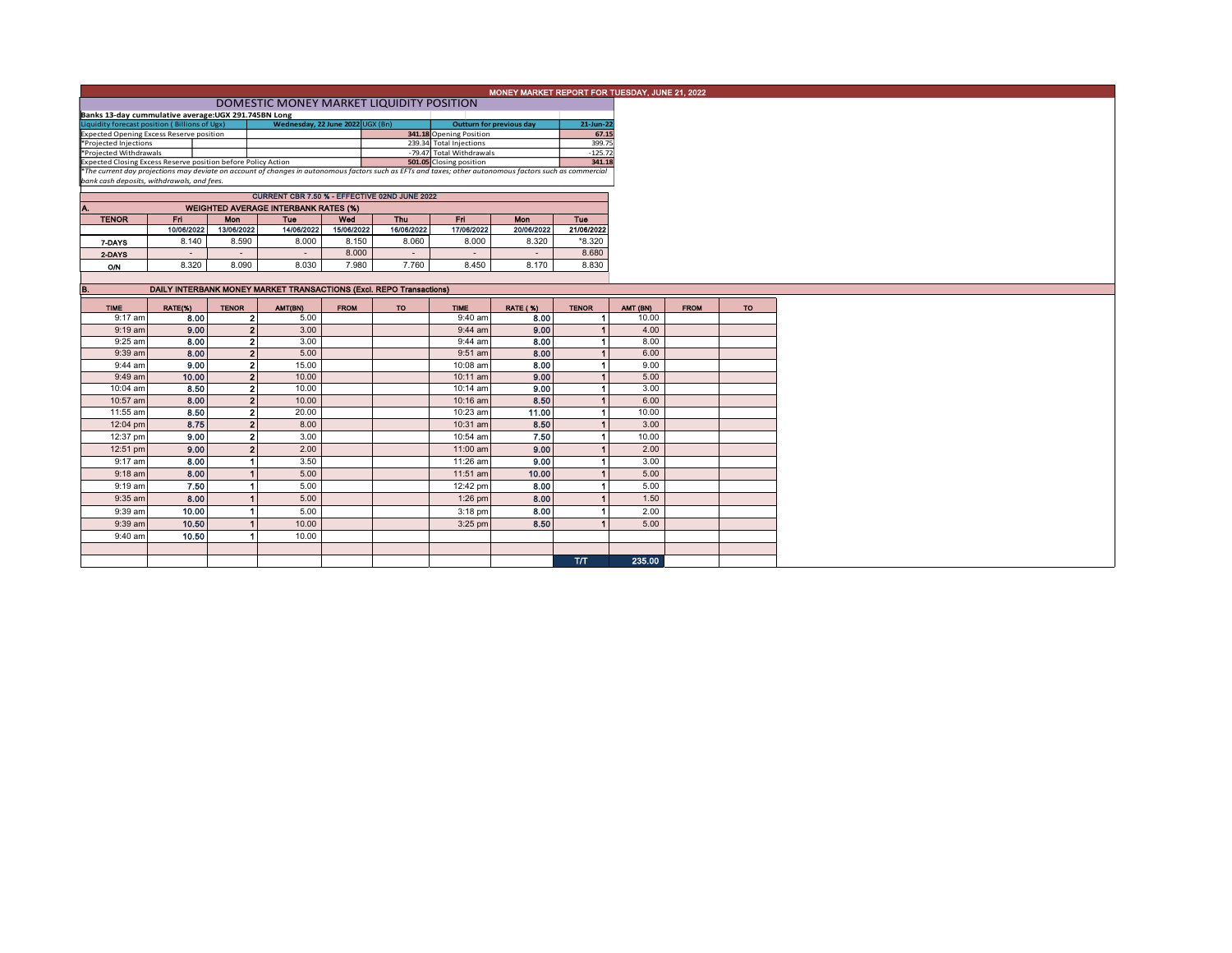| MONEY MARKET REPORT FOR TUESDAY, JUNE 21, 2022                                                                                                           |                                               |                          |                                             |        |                         |                                                                     |                          |                 |              |          |             |     |
|----------------------------------------------------------------------------------------------------------------------------------------------------------|-----------------------------------------------|--------------------------|---------------------------------------------|--------|-------------------------|---------------------------------------------------------------------|--------------------------|-----------------|--------------|----------|-------------|-----|
| DOMESTIC MONEY MARKET LIQUIDITY POSITION                                                                                                                 |                                               |                          |                                             |        |                         |                                                                     |                          |                 |              |          |             |     |
| Banks 13-day cummulative average: UGX 291.745BN Long                                                                                                     |                                               |                          |                                             |        |                         |                                                                     |                          |                 |              |          |             |     |
| Wednesday, 22 June 2022 UGX (Bn)<br>Liquidity forecast position (Billions of Ugx)<br><b>Outturn for previous day</b><br>21-Jun-22                        |                                               |                          |                                             |        |                         |                                                                     |                          |                 |              |          |             |     |
| Expected Opening Excess Reserve position                                                                                                                 |                                               |                          |                                             |        |                         |                                                                     | 341.18 Opening Position  |                 | 67.15        |          |             |     |
| *Projected Injections                                                                                                                                    |                                               |                          |                                             |        | 239.34 Total Injections |                                                                     | 399.75                   |                 |              |          |             |     |
| *Projected Withdrawals                                                                                                                                   |                                               |                          |                                             |        |                         |                                                                     | -79.47 Total Withdrawals |                 | $-125.72$    |          |             |     |
| Expected Closing Excess Reserve position before Policy Action                                                                                            |                                               |                          |                                             |        |                         |                                                                     | 501.05 Closing position  |                 | 341.18       |          |             |     |
| *The current day projections may deviate on account of changes in autonomous factors such as EFTs and taxes; other autonomous factors such as commercial |                                               |                          |                                             |        |                         |                                                                     |                          |                 |              |          |             |     |
| bank cash deposits, withdrawals, and fees.                                                                                                               |                                               |                          |                                             |        |                         |                                                                     |                          |                 |              |          |             |     |
|                                                                                                                                                          | CURRENT CBR 7.50 % - EFFECTIVE 02ND JUNE 2022 |                          |                                             |        |                         |                                                                     |                          |                 |              |          |             |     |
|                                                                                                                                                          |                                               |                          | <b>WEIGHTED AVERAGE INTERBANK RATES (%)</b> |        |                         |                                                                     |                          |                 |              |          |             |     |
| <b>TENOR</b>                                                                                                                                             | Fri.                                          |                          |                                             |        |                         | Thu                                                                 | Fri.                     | <b>Mon</b>      | Tuo          |          |             |     |
|                                                                                                                                                          | 10/06/2022                                    | <b>Mon</b><br>13/06/2022 | <b>Tue</b><br>14/06/2022                    |        | Wed                     | 16/06/2022                                                          | 17/06/2022               | 20/06/2022      |              |          |             |     |
|                                                                                                                                                          |                                               |                          |                                             |        | 15/06/2022              |                                                                     |                          |                 | 21/06/2022   |          |             |     |
| 7-DAYS                                                                                                                                                   | 8.140                                         | 8.590                    |                                             | 8.000  | 8.150                   | 8.060                                                               | 8.000                    | 8.320           | $*8.320$     |          |             |     |
| 2-DAYS                                                                                                                                                   | $\sim$                                        | $\sim$                   |                                             | $\sim$ | 8.000                   | $\sim$                                                              |                          | $\sim$          | 8.680        |          |             |     |
| ON                                                                                                                                                       | 8.320                                         | 8.090                    |                                             | 8.030  | 7.980                   | 7.760                                                               | 8.450                    | 8.170           | 8.830        |          |             |     |
|                                                                                                                                                          |                                               |                          |                                             |        |                         |                                                                     |                          |                 |              |          |             |     |
| В.                                                                                                                                                       |                                               |                          |                                             |        |                         | DAILY INTERBANK MONEY MARKET TRANSACTIONS (Excl. REPO Transactions) |                          |                 |              |          |             |     |
|                                                                                                                                                          |                                               |                          |                                             |        |                         |                                                                     |                          |                 |              |          |             |     |
| <b>TIME</b>                                                                                                                                              | RATE(%)                                       | <b>TENOR</b>             | AMT(BN)                                     |        | <b>FROM</b>             | TO.                                                                 | <b>TIME</b>              | <b>RATE (%)</b> | <b>TENOR</b> | AMT (BN) | <b>FROM</b> | TO: |
| $9:17$ am                                                                                                                                                | 8.00                                          |                          | 2 <sup>1</sup>                              | 5.00   |                         |                                                                     | 9:40 am                  | 8.00            |              | 10.00    |             |     |
| $9:19$ am                                                                                                                                                | 9.00                                          |                          | 2 <sup>1</sup>                              | 3.00   |                         |                                                                     | $9:44$ am                | 9.00            |              | 4.00     |             |     |
| 9:25 am                                                                                                                                                  | 8.00                                          |                          | $\mathbf{2}$                                | 3.00   |                         |                                                                     | $9:44$ am                | 8.00            |              | 8.00     |             |     |
| 9:39 am                                                                                                                                                  | 8.00                                          |                          | 2 <sup>1</sup>                              | 5.00   |                         |                                                                     | $9:51$ am                | 8.00            |              | 6.00     |             |     |
| 9:44 am                                                                                                                                                  | 9.00                                          |                          | $\overline{2}$                              | 15.00  |                         |                                                                     | 10:08 am                 | 8.00            |              | 9.00     |             |     |
|                                                                                                                                                          |                                               |                          |                                             |        |                         |                                                                     |                          |                 |              |          |             |     |
| 9:49 am                                                                                                                                                  | 10.00                                         |                          | 2 <sup>1</sup>                              | 10.00  |                         |                                                                     | $10:11$ am               | 9.00            |              | 5.00     |             |     |
| 10:04 am                                                                                                                                                 | 8.50                                          |                          | $\mathbf{2}$                                | 10.00  |                         |                                                                     | 10:14 am                 | 9.00            |              | 3.00     |             |     |
| 10:57 am                                                                                                                                                 | 8.00                                          |                          | 2 <sup>1</sup>                              | 10.00  |                         |                                                                     | 10:16 am                 | 8.50            |              | 6.00     |             |     |
| 11:55 am                                                                                                                                                 | 8.50                                          |                          | $\overline{2}$                              | 20.00  |                         |                                                                     | 10:23 am                 | 11.00           |              | 10.00    |             |     |
| 12:04 pm                                                                                                                                                 | 8.75                                          |                          | 2 <sup>1</sup>                              | 8.00   |                         |                                                                     | 10:31 am                 | 8.50            |              | 3.00     |             |     |
| 12:37 pm                                                                                                                                                 | 9.00                                          |                          | $\mathbf{2}$                                | 3.00   |                         |                                                                     | 10:54 am                 | 7.50            |              | 10.00    |             |     |
|                                                                                                                                                          |                                               |                          |                                             |        |                         |                                                                     |                          |                 |              |          |             |     |
| 12:51 pm                                                                                                                                                 | 9.00                                          |                          | 2 <sup>1</sup>                              | 2.00   |                         |                                                                     | 11:00 am                 | 9.00            |              | 2.00     |             |     |
| 9:17 am                                                                                                                                                  | 8.00                                          |                          | $\blacktriangleleft$                        | 3.50   |                         |                                                                     | 11:26 am                 | 9.00            |              | 3.00     |             |     |
| $9:18$ am                                                                                                                                                | 8.00                                          |                          | $\vert$                                     | 5.00   |                         |                                                                     | 11:51 am                 | 10.00           |              | 5.00     |             |     |
| 9:19 am                                                                                                                                                  | 7.50                                          |                          |                                             | 5.00   |                         |                                                                     | 12:42 pm                 | 8.00            |              | 5.00     |             |     |
| 9:35 am                                                                                                                                                  | 8.00                                          |                          |                                             | 5.00   |                         |                                                                     |                          | 8.00            |              | 1.50     |             |     |
|                                                                                                                                                          |                                               |                          |                                             |        |                         |                                                                     | $1:26$ pm                |                 |              |          |             |     |
| 9:39 am                                                                                                                                                  | 10.00                                         |                          |                                             | 5.00   |                         |                                                                     | $3:18$ pm                | 8.00            |              | 2.00     |             |     |
| 9:39 am                                                                                                                                                  | 10.50                                         |                          |                                             | 10.00  |                         |                                                                     | $3:25$ pm                | 8.50            |              | 5.00     |             |     |
| $9:40$ am                                                                                                                                                | 10.50                                         |                          | -1                                          | 10.00  |                         |                                                                     |                          |                 |              |          |             |     |
|                                                                                                                                                          |                                               |                          |                                             |        |                         |                                                                     |                          |                 |              |          |             |     |
|                                                                                                                                                          |                                               |                          |                                             |        |                         |                                                                     |                          |                 | <b>T/T</b>   | 235.00   |             |     |
|                                                                                                                                                          |                                               |                          |                                             |        |                         |                                                                     |                          |                 |              |          |             |     |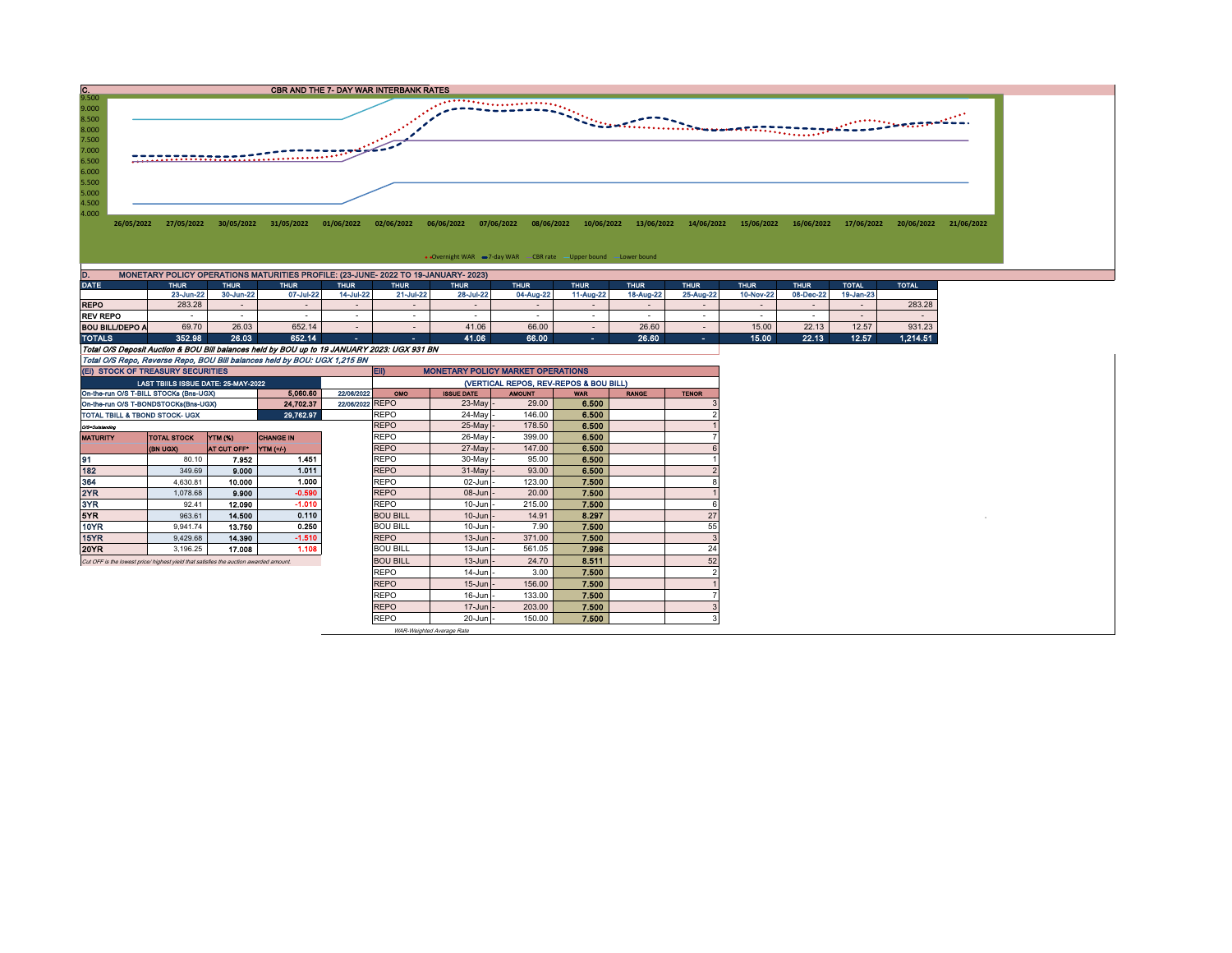

| <b>DATE</b>            | <b>THUR</b>                                                                                 | <b>THUR</b> | <b>THUR</b> | <b>THUR</b> | <b>THUR</b> | <b>THUR</b> | <b>THUR</b> | <b>THUR</b> | <b>THUR</b> | <b>THUR</b> | <b>THUR</b> | <b>THUR</b> | <b>TOTAL</b> | <b>TOTAL</b> |
|------------------------|---------------------------------------------------------------------------------------------|-------------|-------------|-------------|-------------|-------------|-------------|-------------|-------------|-------------|-------------|-------------|--------------|--------------|
|                        | 23-Jun-22                                                                                   | 30-Jun-22   | 07-Jul-22   | 14-Jul-22   | 21-Jul-22   | 28-Jul-22   | 04-Aug-22   | 11-Aug-22   | 18-Aug-22   | 25-Aug-22   | 10-Nov-22   | 08-Dec-22   | 19-Jan-23    |              |
| <b>REPO</b>            | 283.28                                                                                      |             |             |             |             |             |             |             |             |             |             |             |              | 283.28       |
| <b>REV REPO</b>        |                                                                                             |             |             |             |             |             |             |             |             |             |             | -           | -            |              |
| <b>BOU BILL/DEPO A</b> | 69.70                                                                                       | 26.03       | 652.14      |             |             | 41.06       | 66.00       |             | 26.60       |             | 15.00       | 22.13       | 12.57        | 931.23       |
| <b>TOTALS</b>          | 352.98                                                                                      | 26.03       | 652.14      |             |             | 41.06       | 66.00       | ×.          | 26.60       | $\sim$      | 15.00       | 22.13       | 12.57        | 1.214.51     |
|                        | Total O/S Deposit Auction & BOU Bill balances held by BOU up to 19 JANUARY 2023: UGX 931 BN |             |             |             |             |             |             |             |             |             |             |             |              |              |
|                        | Total O/S Repo, Reverse Repo, BOU Bill balances held by BOU: UGX 1,215 BN                   |             |             |             |             |             |             |             |             |             |             |             |              |              |

|                                                                      | (EI) STOCK OF TREASURY SECURITIES                                                    |             |                  |             | EII)<br><b>MONETARY POLICY MARKET OPERATIONS</b> |                   |               |            |              |              |  |  |  |
|----------------------------------------------------------------------|--------------------------------------------------------------------------------------|-------------|------------------|-------------|--------------------------------------------------|-------------------|---------------|------------|--------------|--------------|--|--|--|
|                                                                      | LAST TBIILS ISSUE DATE: 25-MAY-2022                                                  |             |                  |             | (VERTICAL REPOS, REV-REPOS & BOU BILL)           |                   |               |            |              |              |  |  |  |
|                                                                      | On-the-run O/S T-BILL STOCKs (Bns-UGX)                                               |             | 5.060.60         | 22/06/2022  | <b>OMO</b>                                       | <b>ISSUE DATE</b> | <b>AMOUNT</b> | <b>WAR</b> | <b>RANGE</b> | <b>TENOR</b> |  |  |  |
| 22/06/2022 REPO<br>24.702.37<br>On-the-run O/S T-BONDSTOCKs(Bns-UGX) |                                                                                      |             |                  |             |                                                  | $23$ -May -       | 29.00         | 6.500      |              |              |  |  |  |
| TOTAL TBILL & TBOND STOCK- UGX                                       |                                                                                      |             | 29.762.97        |             | <b>REPO</b>                                      | $24$ -May         | 146.00        | 6.500      |              |              |  |  |  |
| 0/3=Outstanding                                                      |                                                                                      |             |                  | <b>REPO</b> | 25-May -                                         | 178.50            | 6.500         |            |              |              |  |  |  |
| <b>MATURITY</b>                                                      | <b>TOTAL STOCK</b>                                                                   | YTM (%)     | <b>CHANGE IN</b> |             | <b>REPO</b>                                      | 26-May -          | 399.00        | 6.500      |              |              |  |  |  |
|                                                                      | (BN UGX)                                                                             | AT CUT OFF* | YTM (+/-)        |             | <b>REPO</b>                                      | $27$ -May -       | 147.00        | 6,500      |              |              |  |  |  |
| 91                                                                   | 80.10                                                                                | 7.952       | 1.451            |             | <b>REPO</b>                                      | 30-May -          | 95.00         | 6.500      |              |              |  |  |  |
| 182                                                                  | 349.69                                                                               | 9.000       | 1.011            |             | <b>REPO</b>                                      | $31$ -May -       | 93.00         | 6.500      |              |              |  |  |  |
| 364                                                                  | 4.630.81                                                                             | 10.000      | 1.000            |             | <b>REPO</b>                                      | $02$ -Jun $-$     | 123.00        | 7.500      |              |              |  |  |  |
| 2YR                                                                  | 1.078.68                                                                             | 9.900       | $-0.590$         |             | <b>REPO</b>                                      | $08$ -Jun $-$     | 20.00         | 7.500      |              |              |  |  |  |
| 3YR                                                                  | 92.41                                                                                | 12.090      | $-1.010$         |             | <b>REPO</b>                                      | $10$ -Jun $-$     | 215.00        | 7.500      |              |              |  |  |  |
| 5YR.                                                                 | 963.61                                                                               | 14,500      | 0.110            |             | <b>BOU BILL</b>                                  | $10$ -Jun $-$     | 14.91         | 8.297      |              | 27           |  |  |  |
| 10YR                                                                 | 9.941.74                                                                             | 13.750      | 0.250            |             | <b>BOU BILL</b>                                  | $10$ -Jun $-$     | 7.90          | 7.500      |              | 55           |  |  |  |
| 15YR                                                                 | 9.429.68                                                                             | 14.390      | $-1.510$         |             | <b>REPO</b>                                      | $13$ -Jun $-$     | 371.00        | 7.500      |              |              |  |  |  |
| 20YR                                                                 | 3,196.25                                                                             | 17.008      | 1.108            |             | <b>BOU BILL</b>                                  | $13$ -Jun $-$     | 561.05        | 7.996      |              | 24           |  |  |  |
|                                                                      | Cut OFF is the lowest price/highest vield that satisfies the auction awarded amount. |             |                  |             | <b>BOU BILL</b>                                  | $13$ -Jun $-$     | 24.70         | 8.511      |              | 52           |  |  |  |
|                                                                      |                                                                                      |             |                  |             | <b>REPO</b>                                      | $14$ -Jun $-$     | 3.00          | 7.500      |              |              |  |  |  |
|                                                                      |                                                                                      |             |                  |             | <b>REPO</b>                                      | $15$ -Jun $-$     | 156.00        | 7.500      |              |              |  |  |  |
|                                                                      |                                                                                      |             |                  |             | <b>REPO</b>                                      | $16$ -Jun $-$     | 133.00        | 7.500      |              |              |  |  |  |
|                                                                      |                                                                                      |             |                  |             | <b>REPO</b>                                      | $17 - Jun$ -      | 203.00        | 7.500      |              |              |  |  |  |
|                                                                      |                                                                                      |             |                  |             | <b>REPO</b>                                      | $20 - Jun$ -      | 150.00        | 7.500      |              |              |  |  |  |

WAR-Weighted Average Rate